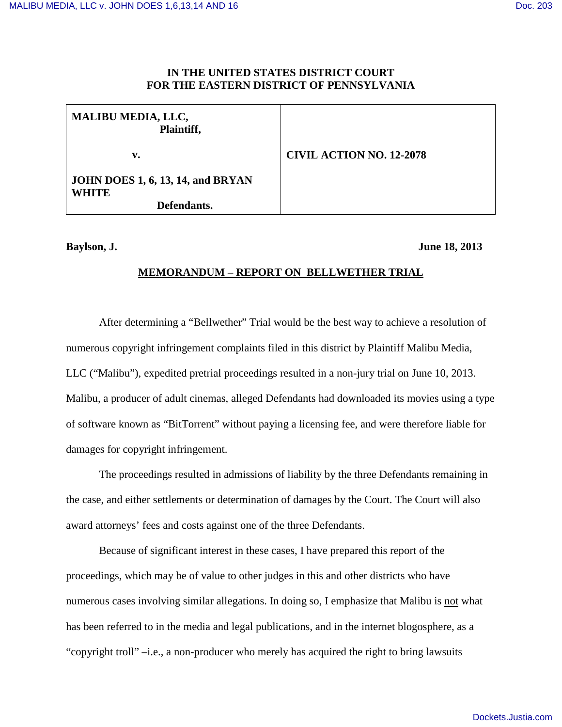# **IN THE UNITED STATES DISTRICT COURT FOR THE EASTERN DISTRICT OF PENNSYLVANIA**

| <b>CIVIL ACTION NO. 12-2078</b> |
|---------------------------------|
|                                 |
|                                 |

### **Baylson, J. June 18, 2013**

# **MEMORANDUM – REPORT ON BELLWETHER TRIAL**

After determining a "Bellwether" Trial would be the best way to achieve a resolution of numerous copyright infringement complaints filed in this district by Plaintiff Malibu Media, LLC ("Malibu"), expedited pretrial proceedings resulted in a non-jury trial on June 10, 2013. Malibu, a producer of adult cinemas, alleged Defendants had downloaded its movies using a type of software known as "BitTorrent" without paying a licensing fee, and were therefore liable for damages for copyright infringement.

The proceedings resulted in admissions of liability by the three Defendants remaining in the case, and either settlements or determination of damages by the Court. The Court will also award attorneys' fees and costs against one of the three Defendants.

Because of significant interest in these cases, I have prepared this report of the proceedings, which may be of value to other judges in this and other districts who have numerous cases involving similar allegations. In doing so, I emphasize that Malibu is not what has been referred to in the media and legal publications, and in the internet blogosphere, as a "copyright troll" –i.e., a non-producer who merely has acquired the right to bring lawsuits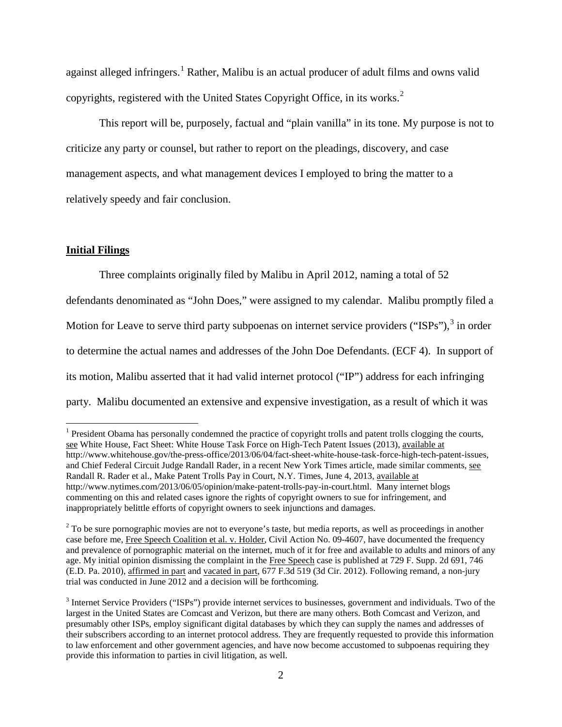against alleged infringers.<sup>[1](#page-1-0)</sup> Rather, Malibu is an actual producer of adult films and owns valid copyrights, registered with the United States Copyright Office, in its works. $2$ 

 This report will be, purposely, factual and "plain vanilla" in its tone. My purpose is not to criticize any party or counsel, but rather to report on the pleadings, discovery, and case management aspects, and what management devices I employed to bring the matter to a relatively speedy and fair conclusion.

# **Initial Filings**

<u>.</u>

Three complaints originally filed by Malibu in April 2012, naming a total of 52

defendants denominated as "John Does," were assigned to my calendar. Malibu promptly filed a Motion for Leave to serve third party subpoenas on internet service providers ("ISPs"), $3$  in order to determine the actual names and addresses of the John Doe Defendants. (ECF 4). In support of its motion, Malibu asserted that it had valid internet protocol ("IP") address for each infringing party. Malibu documented an extensive and expensive investigation, as a result of which it was

<span id="page-1-0"></span><sup>&</sup>lt;sup>1</sup> President Obama has personally condemned the practice of copyright trolls and patent trolls clogging the courts, see White House, Fact Sheet: White House Task Force on High-Tech Patent Issues (2013), available at [http://www.whitehouse.gov/the-press-office/2013/06/04/fact-sheet-white-house-task-force-high-tech-patent-issues,](http://www.whitehouse.gov/the-press-office/2013/06/04/fact-sheet-white-house-task-force-high-tech-patent-issues) and Chief Federal Circuit Judge Randall Rader, in a recent New York Times article, made similar comments, see Randall R. Rader et al., Make Patent Trolls Pay in Court, N.Y. Times, June 4, 2013, available at http://www.nytimes.com/2013/06/05/opinion/make-patent-trolls-pay-in-court.html. Many internet blogs commenting on this and related cases ignore the rights of copyright owners to sue for infringement, and inappropriately belittle efforts of copyright owners to seek injunctions and damages.

<span id="page-1-1"></span><sup>&</sup>lt;sup>2</sup> To be sure pornographic movies are not to everyone's taste, but media reports, as well as proceedings in another case before me, Free Speech Coalition et al. v. Holder, Civil Action No. 09-4607, have documented the frequency and prevalence of pornographic material on the internet, much of it for free and available to adults and minors of any age. My initial opinion dismissing the complaint in the Free Speech case is published at 729 F. Supp. 2d 691, 746 (E.D. Pa. 2010), affirmed in part and vacated in part, 677 F.3d 519 (3d Cir. 2012). Following remand, a non-jury trial was conducted in June 2012 and a decision will be forthcoming.

<span id="page-1-2"></span> $3$  Internet Service Providers ("ISPs") provide internet services to businesses, government and individuals. Two of the largest in the United States are Comcast and Verizon, but there are many others. Both Comcast and Verizon, and presumably other ISPs, employ significant digital databases by which they can supply the names and addresses of their subscribers according to an internet protocol address. They are frequently requested to provide this information to law enforcement and other government agencies, and have now become accustomed to subpoenas requiring they provide this information to parties in civil litigation, as well.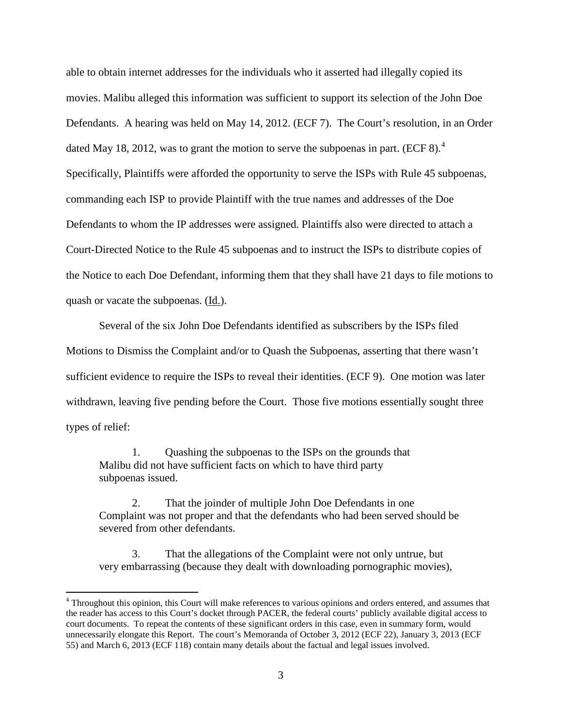able to obtain internet addresses for the individuals who it asserted had illegally copied its movies. Malibu alleged this information was sufficient to support its selection of the John Doe Defendants. A hearing was held on May 14, 2012. (ECF 7). The Court's resolution, in an Order dated May 18, 2012, was to grant the motion to serve the subpoenas in part. (ECF 8).<sup>[4](#page-2-0)</sup> Specifically, Plaintiffs were afforded the opportunity to serve the ISPs with Rule 45 subpoenas, commanding each ISP to provide Plaintiff with the true names and addresses of the Doe Defendants to whom the IP addresses were assigned. Plaintiffs also were directed to attach a Court-Directed Notice to the Rule 45 subpoenas and to instruct the ISPs to distribute copies of the Notice to each Doe Defendant, informing them that they shall have 21 days to file motions to quash or vacate the subpoenas. (Id.).

 Several of the six John Doe Defendants identified as subscribers by the ISPs filed Motions to Dismiss the Complaint and/or to Quash the Subpoenas, asserting that there wasn't sufficient evidence to require the ISPs to reveal their identities. (ECF 9). One motion was later withdrawn, leaving five pending before the Court. Those five motions essentially sought three types of relief:

 1. Quashing the subpoenas to the ISPs on the grounds that Malibu did not have sufficient facts on which to have third party subpoenas issued.

 $\overline{a}$ 

 2. That the joinder of multiple John Doe Defendants in one Complaint was not proper and that the defendants who had been served should be severed from other defendants.

 3. That the allegations of the Complaint were not only untrue, but very embarrassing (because they dealt with downloading pornographic movies),

<span id="page-2-0"></span><sup>&</sup>lt;sup>4</sup> Throughout this opinion, this Court will make references to various opinions and orders entered, and assumes that the reader has access to this Court's docket through PACER, the federal courts' publicly available digital access to court documents. To repeat the contents of these significant orders in this case, even in summary form, would unnecessarily elongate this Report. The court's Memoranda of October 3, 2012 (ECF 22), January 3, 2013 (ECF 55) and March 6, 2013 (ECF 118) contain many details about the factual and legal issues involved.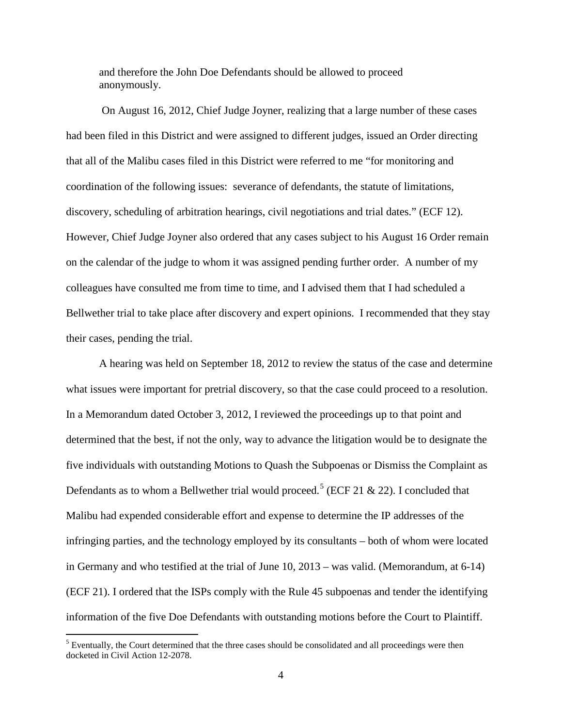and therefore the John Doe Defendants should be allowed to proceed anonymously.

 On August 16, 2012, Chief Judge Joyner, realizing that a large number of these cases had been filed in this District and were assigned to different judges, issued an Order directing that all of the Malibu cases filed in this District were referred to me "for monitoring and coordination of the following issues: severance of defendants, the statute of limitations, discovery, scheduling of arbitration hearings, civil negotiations and trial dates." (ECF 12). However, Chief Judge Joyner also ordered that any cases subject to his August 16 Order remain on the calendar of the judge to whom it was assigned pending further order. A number of my colleagues have consulted me from time to time, and I advised them that I had scheduled a Bellwether trial to take place after discovery and expert opinions. I recommended that they stay their cases, pending the trial.

 A hearing was held on September 18, 2012 to review the status of the case and determine what issues were important for pretrial discovery, so that the case could proceed to a resolution. In a Memorandum dated October 3, 2012, I reviewed the proceedings up to that point and determined that the best, if not the only, way to advance the litigation would be to designate the five individuals with outstanding Motions to Quash the Subpoenas or Dismiss the Complaint as Defendants as to whom a Bellwether trial would proceed.<sup>[5](#page-3-0)</sup> (ECF 21 & 22). I concluded that Malibu had expended considerable effort and expense to determine the IP addresses of the infringing parties, and the technology employed by its consultants – both of whom were located in Germany and who testified at the trial of June 10, 2013 – was valid. (Memorandum, at 6-14) (ECF 21). I ordered that the ISPs comply with the Rule 45 subpoenas and tender the identifying information of the five Doe Defendants with outstanding motions before the Court to Plaintiff.

<u>.</u>

<span id="page-3-0"></span> $<sup>5</sup>$  Eventually, the Court determined that the three cases should be consolidated and all proceedings were then</sup> docketed in Civil Action 12-2078.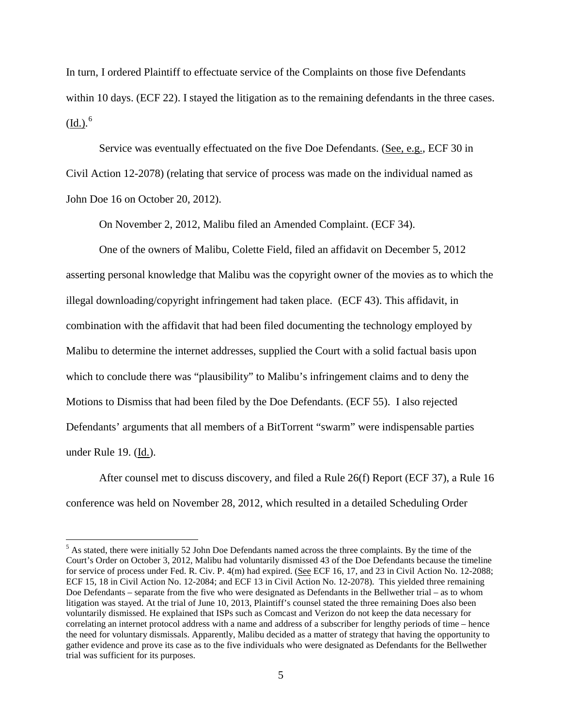In turn, I ordered Plaintiff to effectuate service of the Complaints on those five Defendants within 10 days. (ECF 22). I stayed the litigation as to the remaining defendants in the three cases.  $(\underline{Id.})^{6}$  $(\underline{Id.})^{6}$  $(\underline{Id.})^{6}$ 

Service was eventually effectuated on the five Doe Defendants. (See, e.g., ECF 30 in Civil Action 12-2078) (relating that service of process was made on the individual named as John Doe 16 on October 20, 2012).

On November 2, 2012, Malibu filed an Amended Complaint. (ECF 34).

 One of the owners of Malibu, Colette Field, filed an affidavit on December 5, 2012 asserting personal knowledge that Malibu was the copyright owner of the movies as to which the illegal downloading/copyright infringement had taken place. (ECF 43). This affidavit, in combination with the affidavit that had been filed documenting the technology employed by Malibu to determine the internet addresses, supplied the Court with a solid factual basis upon which to conclude there was "plausibility" to Malibu's infringement claims and to deny the Motions to Dismiss that had been filed by the Doe Defendants. (ECF 55). I also rejected Defendants' arguments that all members of a BitTorrent "swarm" were indispensable parties under Rule 19. (Id.).

 After counsel met to discuss discovery, and filed a Rule 26(f) Report (ECF 37), a Rule 16 conference was held on November 28, 2012, which resulted in a detailed Scheduling Order

 $\overline{a}$ 

<span id="page-4-0"></span> $<sup>5</sup>$  As stated, there were initially 52 John Doe Defendants named across the three complaints. By the time of the</sup> Court's Order on October 3, 2012, Malibu had voluntarily dismissed 43 of the Doe Defendants because the timeline for service of process under Fed. R. Civ. P. 4(m) had expired. (See ECF 16, 17, and 23 in Civil Action No. 12-2088; ECF 15, 18 in Civil Action No. 12-2084; and ECF 13 in Civil Action No. 12-2078). This yielded three remaining Doe Defendants – separate from the five who were designated as Defendants in the Bellwether trial – as to whom litigation was stayed. At the trial of June 10, 2013, Plaintiff's counsel stated the three remaining Does also been voluntarily dismissed. He explained that ISPs such as Comcast and Verizon do not keep the data necessary for correlating an internet protocol address with a name and address of a subscriber for lengthy periods of time – hence the need for voluntary dismissals. Apparently, Malibu decided as a matter of strategy that having the opportunity to gather evidence and prove its case as to the five individuals who were designated as Defendants for the Bellwether trial was sufficient for its purposes.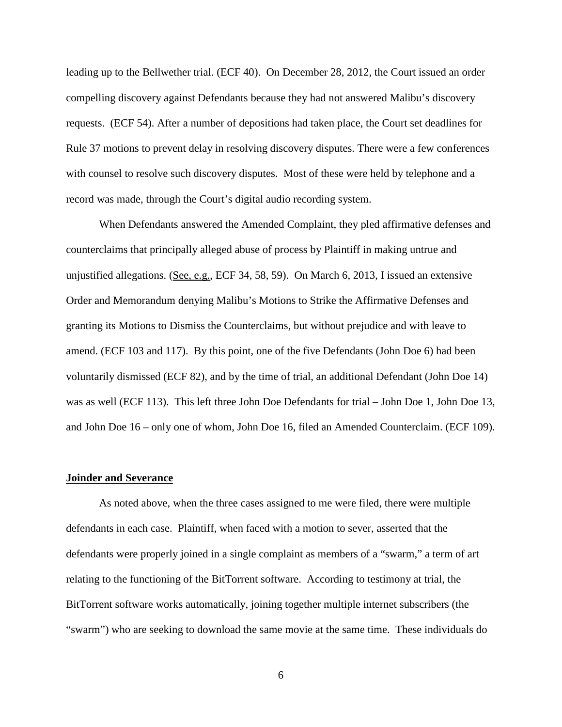leading up to the Bellwether trial. (ECF 40). On December 28, 2012, the Court issued an order compelling discovery against Defendants because they had not answered Malibu's discovery requests. (ECF 54). After a number of depositions had taken place, the Court set deadlines for Rule 37 motions to prevent delay in resolving discovery disputes. There were a few conferences with counsel to resolve such discovery disputes. Most of these were held by telephone and a record was made, through the Court's digital audio recording system.

 When Defendants answered the Amended Complaint, they pled affirmative defenses and counterclaims that principally alleged abuse of process by Plaintiff in making untrue and unjustified allegations. (See, e.g., ECF 34, 58, 59). On March 6, 2013, I issued an extensive Order and Memorandum denying Malibu's Motions to Strike the Affirmative Defenses and granting its Motions to Dismiss the Counterclaims, but without prejudice and with leave to amend. (ECF 103 and 117). By this point, one of the five Defendants (John Doe 6) had been voluntarily dismissed (ECF 82), and by the time of trial, an additional Defendant (John Doe 14) was as well (ECF 113). This left three John Doe Defendants for trial – John Doe 1, John Doe 13, and John Doe 16 – only one of whom, John Doe 16, filed an Amended Counterclaim. (ECF 109).

#### **Joinder and Severance**

As noted above, when the three cases assigned to me were filed, there were multiple defendants in each case. Plaintiff, when faced with a motion to sever, asserted that the defendants were properly joined in a single complaint as members of a "swarm," a term of art relating to the functioning of the BitTorrent software. According to testimony at trial, the BitTorrent software works automatically, joining together multiple internet subscribers (the "swarm") who are seeking to download the same movie at the same time. These individuals do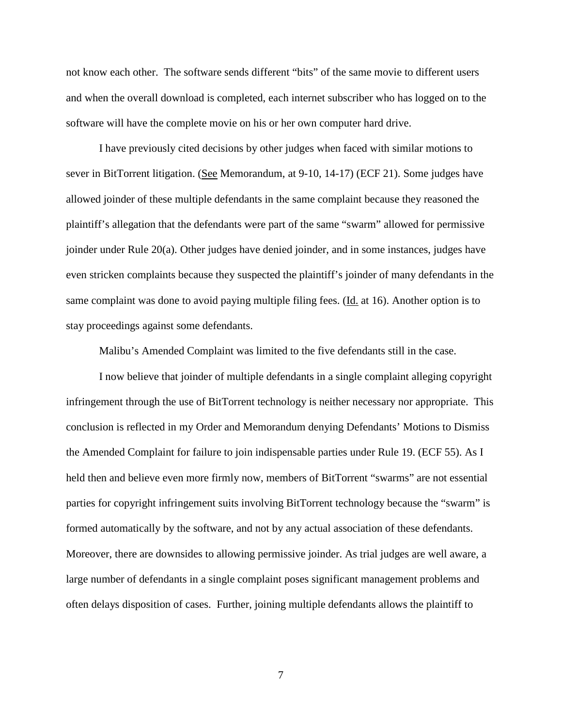not know each other. The software sends different "bits" of the same movie to different users and when the overall download is completed, each internet subscriber who has logged on to the software will have the complete movie on his or her own computer hard drive.

I have previously cited decisions by other judges when faced with similar motions to sever in BitTorrent litigation. (See Memorandum, at 9-10, 14-17) (ECF 21). Some judges have allowed joinder of these multiple defendants in the same complaint because they reasoned the plaintiff's allegation that the defendants were part of the same "swarm" allowed for permissive joinder under Rule 20(a). Other judges have denied joinder, and in some instances, judges have even stricken complaints because they suspected the plaintiff's joinder of many defendants in the same complaint was done to avoid paying multiple filing fees. (Id. at 16). Another option is to stay proceedings against some defendants.

Malibu's Amended Complaint was limited to the five defendants still in the case.

 I now believe that joinder of multiple defendants in a single complaint alleging copyright infringement through the use of BitTorrent technology is neither necessary nor appropriate. This conclusion is reflected in my Order and Memorandum denying Defendants' Motions to Dismiss the Amended Complaint for failure to join indispensable parties under Rule 19. (ECF 55). As I held then and believe even more firmly now, members of BitTorrent "swarms" are not essential parties for copyright infringement suits involving BitTorrent technology because the "swarm" is formed automatically by the software, and not by any actual association of these defendants. Moreover, there are downsides to allowing permissive joinder. As trial judges are well aware, a large number of defendants in a single complaint poses significant management problems and often delays disposition of cases. Further, joining multiple defendants allows the plaintiff to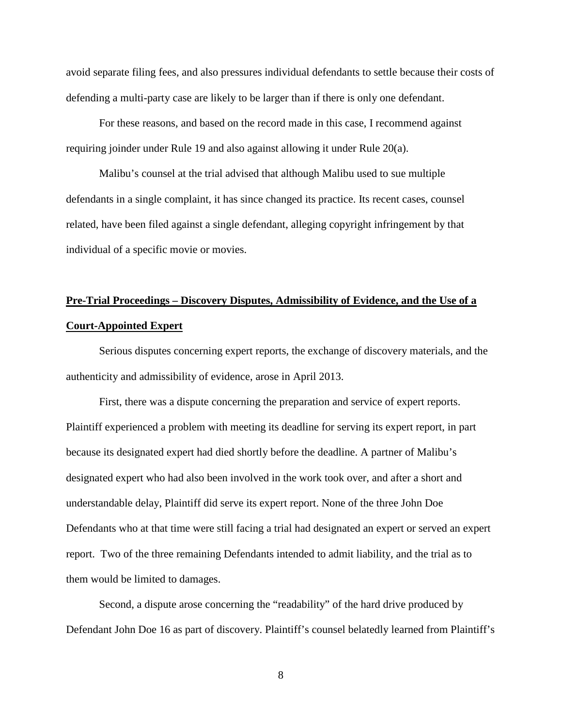avoid separate filing fees, and also pressures individual defendants to settle because their costs of defending a multi-party case are likely to be larger than if there is only one defendant.

 For these reasons, and based on the record made in this case, I recommend against requiring joinder under Rule 19 and also against allowing it under Rule 20(a).

 Malibu's counsel at the trial advised that although Malibu used to sue multiple defendants in a single complaint, it has since changed its practice. Its recent cases, counsel related, have been filed against a single defendant, alleging copyright infringement by that individual of a specific movie or movies.

# **Pre-Trial Proceedings – Discovery Disputes, Admissibility of Evidence, and the Use of a Court-Appointed Expert**

 Serious disputes concerning expert reports, the exchange of discovery materials, and the authenticity and admissibility of evidence, arose in April 2013.

First, there was a dispute concerning the preparation and service of expert reports. Plaintiff experienced a problem with meeting its deadline for serving its expert report, in part because its designated expert had died shortly before the deadline. A partner of Malibu's designated expert who had also been involved in the work took over, and after a short and understandable delay, Plaintiff did serve its expert report. None of the three John Doe Defendants who at that time were still facing a trial had designated an expert or served an expert report. Two of the three remaining Defendants intended to admit liability, and the trial as to them would be limited to damages.

Second, a dispute arose concerning the "readability" of the hard drive produced by Defendant John Doe 16 as part of discovery. Plaintiff's counsel belatedly learned from Plaintiff's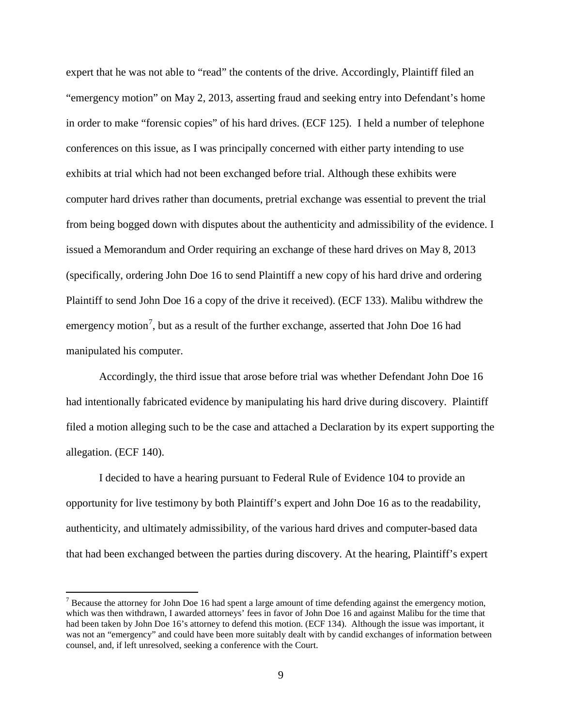expert that he was not able to "read" the contents of the drive. Accordingly, Plaintiff filed an "emergency motion" on May 2, 2013, asserting fraud and seeking entry into Defendant's home in order to make "forensic copies" of his hard drives. (ECF 125). I held a number of telephone conferences on this issue, as I was principally concerned with either party intending to use exhibits at trial which had not been exchanged before trial. Although these exhibits were computer hard drives rather than documents, pretrial exchange was essential to prevent the trial from being bogged down with disputes about the authenticity and admissibility of the evidence. I issued a Memorandum and Order requiring an exchange of these hard drives on May 8, 2013 (specifically, ordering John Doe 16 to send Plaintiff a new copy of his hard drive and ordering Plaintiff to send John Doe 16 a copy of the drive it received). (ECF 133). Malibu withdrew the emergency motion<sup>[7](#page-8-0)</sup>, but as a result of the further exchange, asserted that John Doe 16 had manipulated his computer.

Accordingly, the third issue that arose before trial was whether Defendant John Doe 16 had intentionally fabricated evidence by manipulating his hard drive during discovery. Plaintiff filed a motion alleging such to be the case and attached a Declaration by its expert supporting the allegation. (ECF 140).

I decided to have a hearing pursuant to Federal Rule of Evidence 104 to provide an opportunity for live testimony by both Plaintiff's expert and John Doe 16 as to the readability, authenticity, and ultimately admissibility, of the various hard drives and computer-based data that had been exchanged between the parties during discovery. At the hearing, Plaintiff's expert

 $\overline{a}$ 

<span id="page-8-0"></span><sup>&</sup>lt;sup>7</sup> Because the attorney for John Doe 16 had spent a large amount of time defending against the emergency motion, which was then withdrawn, I awarded attorneys' fees in favor of John Doe 16 and against Malibu for the time that had been taken by John Doe 16's attorney to defend this motion. (ECF 134). Although the issue was important, it was not an "emergency" and could have been more suitably dealt with by candid exchanges of information between counsel, and, if left unresolved, seeking a conference with the Court.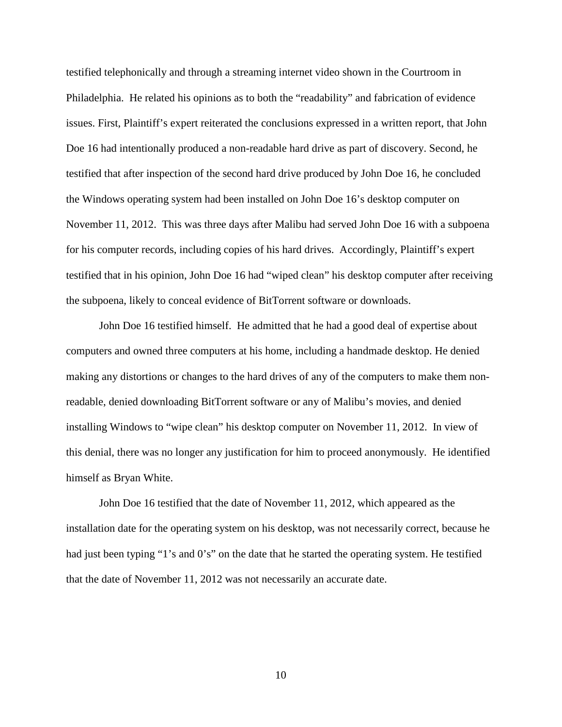testified telephonically and through a streaming internet video shown in the Courtroom in Philadelphia. He related his opinions as to both the "readability" and fabrication of evidence issues. First, Plaintiff's expert reiterated the conclusions expressed in a written report, that John Doe 16 had intentionally produced a non-readable hard drive as part of discovery. Second, he testified that after inspection of the second hard drive produced by John Doe 16, he concluded the Windows operating system had been installed on John Doe 16's desktop computer on November 11, 2012. This was three days after Malibu had served John Doe 16 with a subpoena for his computer records, including copies of his hard drives. Accordingly, Plaintiff's expert testified that in his opinion, John Doe 16 had "wiped clean" his desktop computer after receiving the subpoena, likely to conceal evidence of BitTorrent software or downloads.

 John Doe 16 testified himself. He admitted that he had a good deal of expertise about computers and owned three computers at his home, including a handmade desktop. He denied making any distortions or changes to the hard drives of any of the computers to make them nonreadable, denied downloading BitTorrent software or any of Malibu's movies, and denied installing Windows to "wipe clean" his desktop computer on November 11, 2012. In view of this denial, there was no longer any justification for him to proceed anonymously. He identified himself as Bryan White.

 John Doe 16 testified that the date of November 11, 2012, which appeared as the installation date for the operating system on his desktop, was not necessarily correct, because he had just been typing "1's and 0's" on the date that he started the operating system. He testified that the date of November 11, 2012 was not necessarily an accurate date.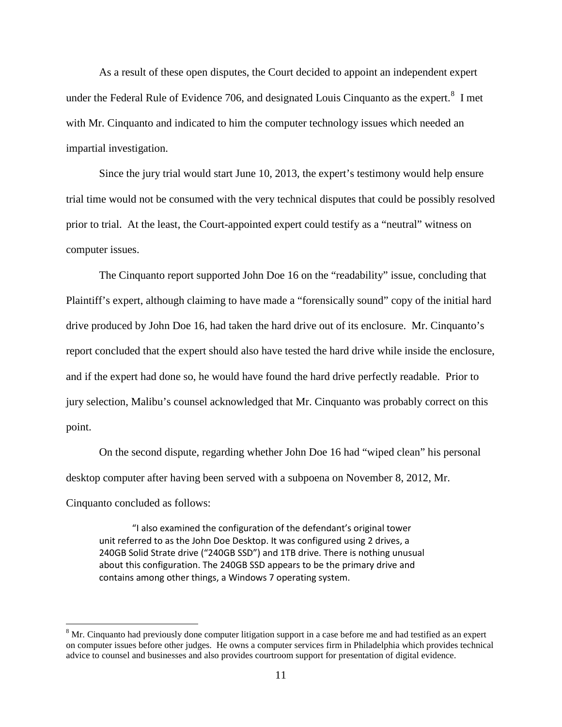As a result of these open disputes, the Court decided to appoint an independent expert under the Federal Rule of Evidence 706, and designated Louis Cinquanto as the expert.<sup>[8](#page-10-0)</sup> I met with Mr. Cinquanto and indicated to him the computer technology issues which needed an impartial investigation.

 Since the jury trial would start June 10, 2013, the expert's testimony would help ensure trial time would not be consumed with the very technical disputes that could be possibly resolved prior to trial. At the least, the Court-appointed expert could testify as a "neutral" witness on computer issues.

 The Cinquanto report supported John Doe 16 on the "readability" issue, concluding that Plaintiff's expert, although claiming to have made a "forensically sound" copy of the initial hard drive produced by John Doe 16, had taken the hard drive out of its enclosure. Mr. Cinquanto's report concluded that the expert should also have tested the hard drive while inside the enclosure, and if the expert had done so, he would have found the hard drive perfectly readable. Prior to jury selection, Malibu's counsel acknowledged that Mr. Cinquanto was probably correct on this point.

 On the second dispute, regarding whether John Doe 16 had "wiped clean" his personal desktop computer after having been served with a subpoena on November 8, 2012, Mr. Cinquanto concluded as follows:

"I also examined the configuration of the defendant's original tower unit referred to as the John Doe Desktop. It was configured using 2 drives, a 240GB Solid Strate drive ("240GB SSD") and 1TB drive. There is nothing unusual about this configuration. The 240GB SSD appears to be the primary drive and contains among other things, a Windows 7 operating system.

<u>.</u>

<span id="page-10-0"></span><sup>&</sup>lt;sup>8</sup> Mr. Cinquanto had previously done computer litigation support in a case before me and had testified as an expert on computer issues before other judges. He owns a computer services firm in Philadelphia which provides technical advice to counsel and businesses and also provides courtroom support for presentation of digital evidence.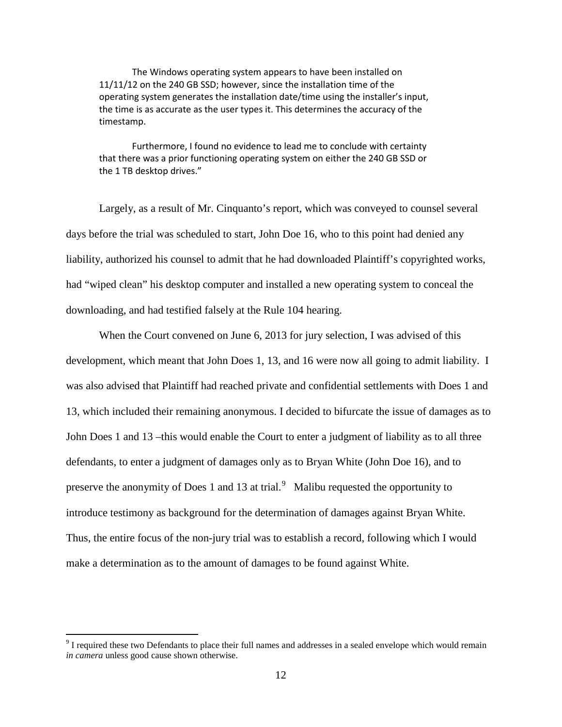The Windows operating system appears to have been installed on 11/11/12 on the 240 GB SSD; however, since the installation time of the operating system generates the installation date/time using the installer's input, the time is as accurate as the user types it. This determines the accuracy of the timestamp.

Furthermore, I found no evidence to lead me to conclude with certainty that there was a prior functioning operating system on either the 240 GB SSD or the 1 TB desktop drives."

Largely, as a result of Mr. Cinquanto's report, which was conveyed to counsel several days before the trial was scheduled to start, John Doe 16, who to this point had denied any liability, authorized his counsel to admit that he had downloaded Plaintiff's copyrighted works, had "wiped clean" his desktop computer and installed a new operating system to conceal the downloading, and had testified falsely at the Rule 104 hearing.

When the Court convened on June 6, 2013 for jury selection, I was advised of this development, which meant that John Does 1, 13, and 16 were now all going to admit liability. I was also advised that Plaintiff had reached private and confidential settlements with Does 1 and 13, which included their remaining anonymous. I decided to bifurcate the issue of damages as to John Does 1 and 13 –this would enable the Court to enter a judgment of liability as to all three defendants, to enter a judgment of damages only as to Bryan White (John Doe 16), and to preserve the anonymity of Does 1 and 13 at trial. $\degree$  Malibu requested the opportunity to introduce testimony as background for the determination of damages against Bryan White. Thus, the entire focus of the non-jury trial was to establish a record, following which I would make a determination as to the amount of damages to be found against White.

<u>.</u>

<span id="page-11-0"></span> $9<sup>9</sup>$  I required these two Defendants to place their full names and addresses in a sealed envelope which would remain *in camera* unless good cause shown otherwise.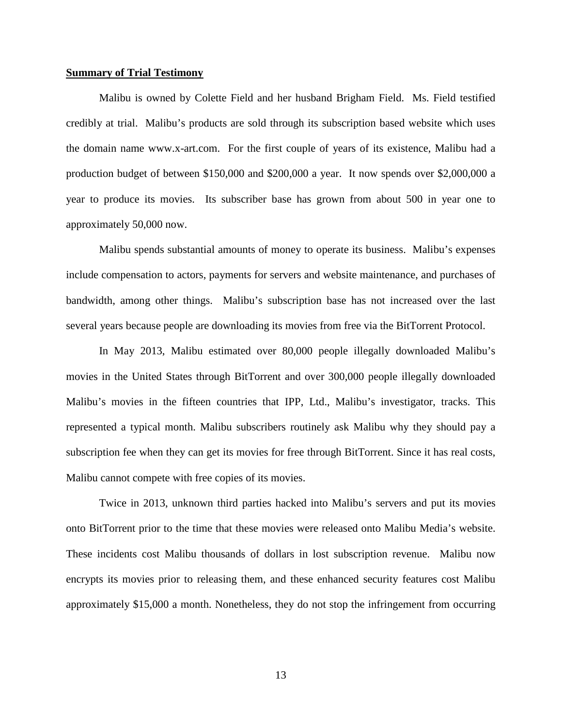#### **Summary of Trial Testimony**

 Malibu is owned by Colette Field and her husband Brigham Field. Ms. Field testified credibly at trial. Malibu's products are sold through its subscription based website which uses the domain name [www.x-art.com.](http://www.x-art.com/) For the first couple of years of its existence, Malibu had a production budget of between \$150,000 and \$200,000 a year. It now spends over \$2,000,000 a year to produce its movies. Its subscriber base has grown from about 500 in year one to approximately 50,000 now.

Malibu spends substantial amounts of money to operate its business. Malibu's expenses include compensation to actors, payments for servers and website maintenance, and purchases of bandwidth, among other things. Malibu's subscription base has not increased over the last several years because people are downloading its movies from free via the BitTorrent Protocol.

In May 2013, Malibu estimated over 80,000 people illegally downloaded Malibu's movies in the United States through BitTorrent and over 300,000 people illegally downloaded Malibu's movies in the fifteen countries that IPP, Ltd., Malibu's investigator, tracks. This represented a typical month. Malibu subscribers routinely ask Malibu why they should pay a subscription fee when they can get its movies for free through BitTorrent. Since it has real costs, Malibu cannot compete with free copies of its movies.

Twice in 2013, unknown third parties hacked into Malibu's servers and put its movies onto BitTorrent prior to the time that these movies were released onto Malibu Media's website. These incidents cost Malibu thousands of dollars in lost subscription revenue. Malibu now encrypts its movies prior to releasing them, and these enhanced security features cost Malibu approximately \$15,000 a month. Nonetheless, they do not stop the infringement from occurring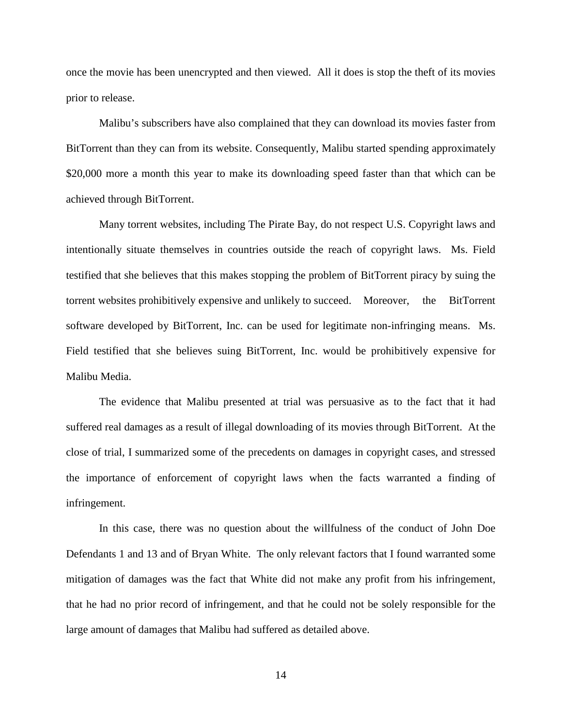once the movie has been unencrypted and then viewed. All it does is stop the theft of its movies prior to release.

Malibu's subscribers have also complained that they can download its movies faster from BitTorrent than they can from its website. Consequently, Malibu started spending approximately \$20,000 more a month this year to make its downloading speed faster than that which can be achieved through BitTorrent.

Many torrent websites, including The Pirate Bay, do not respect U.S. Copyright laws and intentionally situate themselves in countries outside the reach of copyright laws. Ms. Field testified that she believes that this makes stopping the problem of BitTorrent piracy by suing the torrent websites prohibitively expensive and unlikely to succeed. Moreover, the BitTorrent software developed by BitTorrent, Inc. can be used for legitimate non-infringing means. Ms. Field testified that she believes suing BitTorrent, Inc. would be prohibitively expensive for Malibu Media.

The evidence that Malibu presented at trial was persuasive as to the fact that it had suffered real damages as a result of illegal downloading of its movies through BitTorrent. At the close of trial, I summarized some of the precedents on damages in copyright cases, and stressed the importance of enforcement of copyright laws when the facts warranted a finding of infringement.

In this case, there was no question about the willfulness of the conduct of John Doe Defendants 1 and 13 and of Bryan White. The only relevant factors that I found warranted some mitigation of damages was the fact that White did not make any profit from his infringement, that he had no prior record of infringement, and that he could not be solely responsible for the large amount of damages that Malibu had suffered as detailed above.